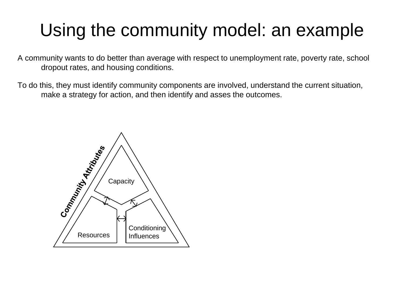A community wants to do better than average with respect to unemployment rate, poverty rate, school dropout rates, and housing conditions.

To do this, they must identify community components are involved, understand the current situation, make a strategy for action, and then identify and asses the outcomes.

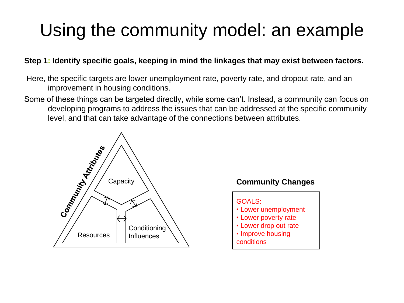### **Step 1: Identify specific goals, keeping in mind the linkages that may exist between factors.**

- Here, the specific targets are lower unemployment rate, poverty rate, and dropout rate, and an improvement in housing conditions.
- Some of these things can be targeted directly, while some can't. Instead, a community can focus on developing programs to address the issues that can be addressed at the specific community level, and that can take advantage of the connections between attributes.



### **Community Changes**

GOALS:

- Lower unemployment
- Lower poverty rate
- Lower drop out rate
- Improve housing conditions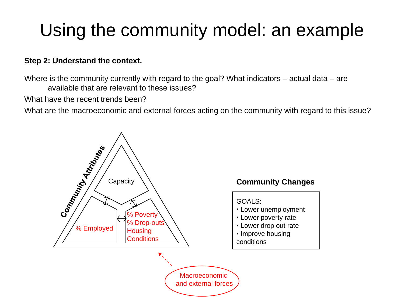### **Step 2: Understand the context.**

Where is the community currently with regard to the goal? What indicators – actual data – are available that are relevant to these issues?

What have the recent trends been?

What are the macroeconomic and external forces acting on the community with regard to this issue?



### **Community Changes**

GOALS:

- Lower unemployment
- Lower poverty rate
- Lower drop out rate
- Improve housing conditions

Macroeconomic and external forces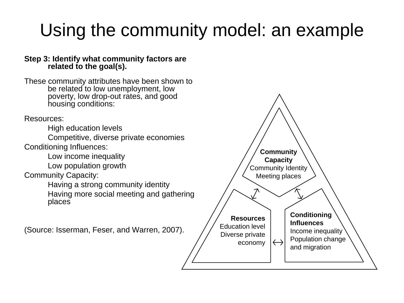#### **Step 3: Identify what community factors are related to the goal(s).**

These community attributes have been shown to be related to low unemployment, low poverty, low drop-out rates, and good housing conditions:

Resources:

High education levels

Competitive, diverse private economies

Conditioning Influences:

Low income inequality

Low population growth

Community Capacity:

Having a strong community identity

Having more social meeting and gathering places

(Source: Isserman, Feser, and Warren, 2007).

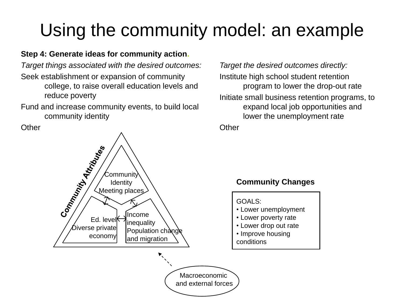## **Step 4: Generate ideas for community action.**

*Target things associated with the desired outcomes:* Seek establishment or expansion of community college, to raise overall education levels and reduce poverty

Fund and increase community events, to build local community identity

**Other** 



Macroeconomic and external forces

*Target the desired outcomes directly:*  Institute high school student retention program to lower the drop-out rate Initiate small business retention programs, to expand local job opportunities and lower the unemployment rate

**Other** 

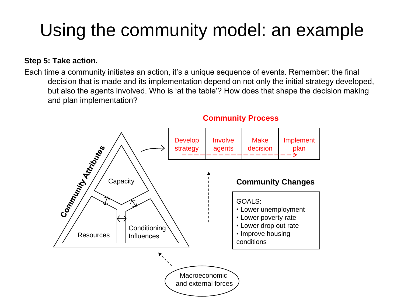### **Step 5: Take action.**

Each time a community initiates an action, it's a unique sequence of events. Remember: the final decision that is made and its implementation depend on not only the initial strategy developed, but also the agents involved. Who is 'at the table'? How does that shape the decision making and plan implementation?



### **Community Process**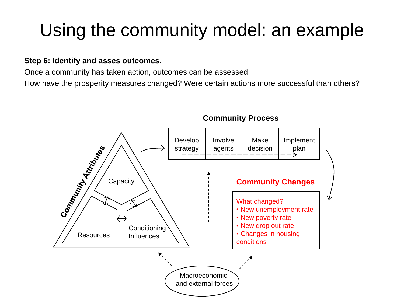#### **Step 6: Identify and asses outcomes.**

Once a community has taken action, outcomes can be assessed.

How have the prosperity measures changed? Were certain actions more successful than others?